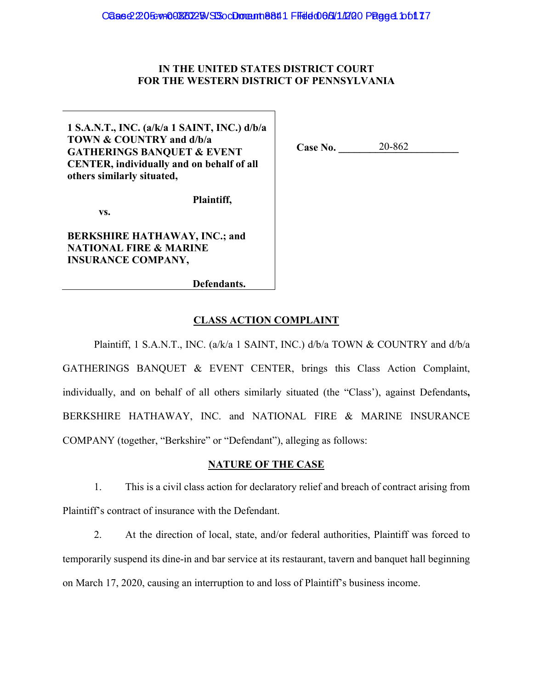## **IN THE UNITED STATES DISTRICT COURT FOR THE WESTERN DISTRICT OF PENNSYLVANIA**

**1 S.A.N.T., INC. (a/k/a 1 SAINT, INC.) d/b/a TOWN & COUNTRY and d/b/a GATHERINGS BANQUET & EVENT CENTER, individually and on behalf of all others similarly situated,** 

 **vs.** 

**BERKSHIRE HATHAWAY, INC.; and NATIONAL FIRE & MARINE INSURANCE COMPANY,** 

**Case No. \_\_\_\_\_\_\_\_\_\_\_\_\_\_\_\_\_\_\_\_\_\_\_**  20-862

**Defendants.**

**Plaintiff,** 

## **CLASS ACTION COMPLAINT**

Plaintiff, 1 S.A.N.T., INC. (a/k/a 1 SAINT, INC.) d/b/a TOWN & COUNTRY and d/b/a GATHERINGS BANQUET & EVENT CENTER, brings this Class Action Complaint, individually, and on behalf of all others similarly situated (the "Class'), against Defendants**,**  BERKSHIRE HATHAWAY, INC. and NATIONAL FIRE & MARINE INSURANCE COMPANY (together, "Berkshire" or "Defendant"), alleging as follows:

## **NATURE OF THE CASE**

1. This is a civil class action for declaratory relief and breach of contract arising from Plaintiff's contract of insurance with the Defendant.

2. At the direction of local, state, and/or federal authorities, Plaintiff was forced to temporarily suspend its dine-in and bar service at its restaurant, tavern and banquet hall beginning on March 17, 2020, causing an interruption to and loss of Plaintiff's business income.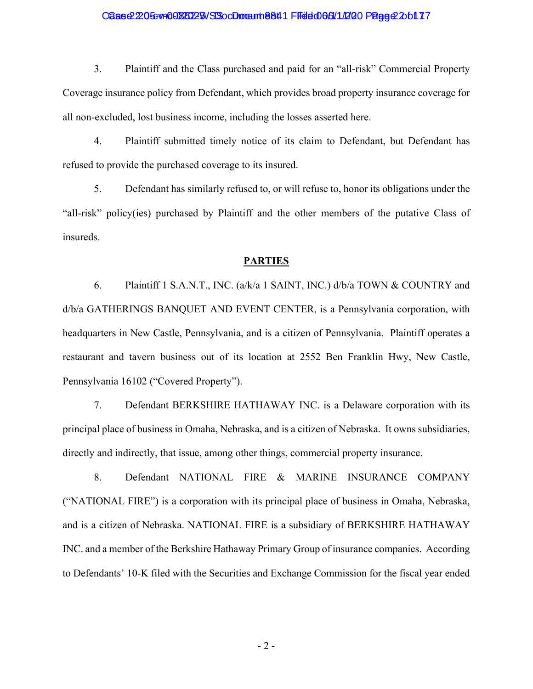### Case 2:205-vn0082025 NSS oc Domant 1 884 1 Filed 06/5/11/20 Page 2 2:01 17

3. Plaintiff and the Class purchased and paid for an "all-risk" Commercial Property Coverage insurance policy from Defendant, which provides broad property insurance coverage for all non-excluded, lost business income, including the losses asserted here.

4. Plaintiff submitted timely notice of its claim to Defendant, but Defendant has refused to provide the purchased coverage to its insured.

5. Defendant has similarly refused to, or will refuse to, honor its obligations under the "all-risk" policy(ies) purchased by Plaintiff and the other members of the putative Class of insureds.

### **PARTIES**

6. Plaintiff 1 S.A.N.T., INC. (a/k/a 1 SAINT, INC.) d/b/a TOWN & COUNTRY and d/b/a GATHERINGS BANQUET AND EVENT CENTER, is a Pennsylvania corporation, with headquarters in New Castle, Pennsylvania, and is a citizen of Pennsylvania. Plaintiff operates a restaurant and tavern business out of its location at 2552 Ben Franklin Hwy, New Castle, Pennsylvania 16102 ("Covered Property").

7. Defendant BERKSHIRE HATHAWAY INC. is a Delaware corporation with its principal place of business in Omaha, Nebraska, and is a citizen of Nebraska. It owns subsidiaries, directly and indirectly, that issue, among other things, commercial property insurance.

8. Defendant NATIONAL FIRE & MARINE INSURANCE COMPANY ("NATIONAL FIRE") is a corporation with its principal place of business in Omaha, Nebraska, and is a citizen of Nebraska. NATIONAL FIRE is a subsidiary of BERKSHIRE HATHAWAY INC. and a member of the Berkshire Hathaway Primary Group of insurance companies. According to Defendants' 10-K filed with the Securities and Exchange Commission for the fiscal year ended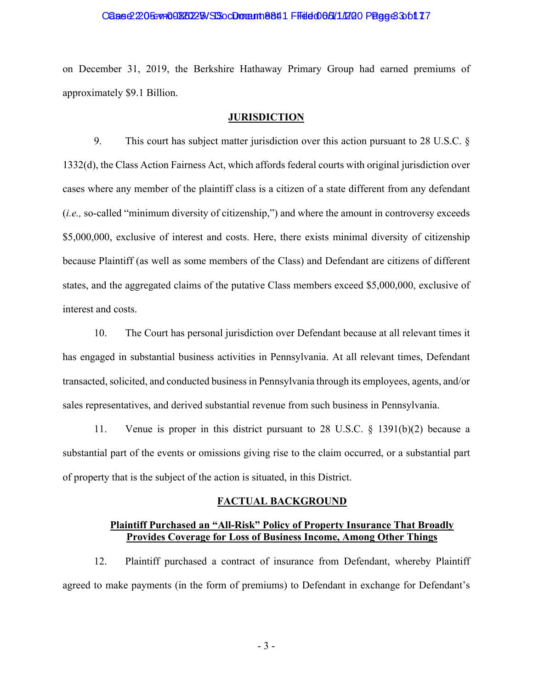#### Case 2:205-vn0082025 NSS oc Domant 8841 Filed 066/11/20 Page 3 3 of 17

on December 31, 2019, the Berkshire Hathaway Primary Group had earned premiums of approximately \$9.1 Billion.

### **JURISDICTION**

9. This court has subject matter jurisdiction over this action pursuant to 28 U.S.C. § 1332(d), the Class Action Fairness Act, which affords federal courts with original jurisdiction over cases where any member of the plaintiff class is a citizen of a state different from any defendant (*i.e.,* so-called "minimum diversity of citizenship,") and where the amount in controversy exceeds \$5,000,000, exclusive of interest and costs. Here, there exists minimal diversity of citizenship because Plaintiff (as well as some members of the Class) and Defendant are citizens of different states, and the aggregated claims of the putative Class members exceed \$5,000,000, exclusive of interest and costs.

10. The Court has personal jurisdiction over Defendant because at all relevant times it has engaged in substantial business activities in Pennsylvania. At all relevant times, Defendant transacted, solicited, and conducted business in Pennsylvania through its employees, agents, and/or sales representatives, and derived substantial revenue from such business in Pennsylvania.

11. Venue is proper in this district pursuant to 28 U.S.C. § 1391(b)(2) because a substantial part of the events or omissions giving rise to the claim occurred, or a substantial part of property that is the subject of the action is situated, in this District.

#### **FACTUAL BACKGROUND**

### **Plaintiff Purchased an "All-Risk" Policy of Property Insurance That Broadly Provides Coverage for Loss of Business Income, Among Other Things**

12. Plaintiff purchased a contract of insurance from Defendant, whereby Plaintiff agreed to make payments (in the form of premiums) to Defendant in exchange for Defendant's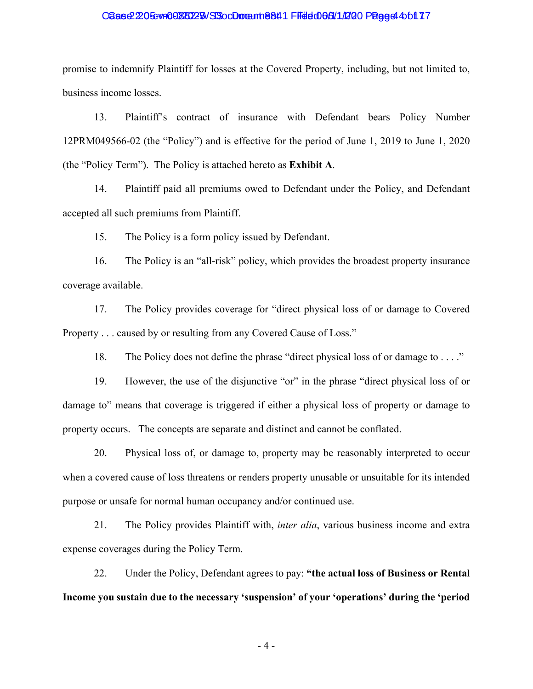#### Case 2:205-vn0082025 NSS oc Domant 1 884 1 Filed 06/611/200 Page 4 4 of 17

promise to indemnify Plaintiff for losses at the Covered Property, including, but not limited to, business income losses.

13. Plaintiff's contract of insurance with Defendant bears Policy Number 12PRM049566-02 (the "Policy") and is effective for the period of June 1, 2019 to June 1, 2020 (the "Policy Term"). The Policy is attached hereto as **Exhibit A**.

14. Plaintiff paid all premiums owed to Defendant under the Policy, and Defendant accepted all such premiums from Plaintiff.

15. The Policy is a form policy issued by Defendant.

16. The Policy is an "all-risk" policy, which provides the broadest property insurance coverage available.

17. The Policy provides coverage for "direct physical loss of or damage to Covered Property . . . caused by or resulting from any Covered Cause of Loss."

18. The Policy does not define the phrase "direct physical loss of or damage to . . . ."

19. However, the use of the disjunctive "or" in the phrase "direct physical loss of or damage to" means that coverage is triggered if either a physical loss of property or damage to property occurs. The concepts are separate and distinct and cannot be conflated.

20. Physical loss of, or damage to, property may be reasonably interpreted to occur when a covered cause of loss threatens or renders property unusable or unsuitable for its intended purpose or unsafe for normal human occupancy and/or continued use.

21. The Policy provides Plaintiff with, *inter alia*, various business income and extra expense coverages during the Policy Term.

22. Under the Policy, Defendant agrees to pay: **"the actual loss of Business or Rental Income you sustain due to the necessary 'suspension' of your 'operations' during the 'period** 

- 4 -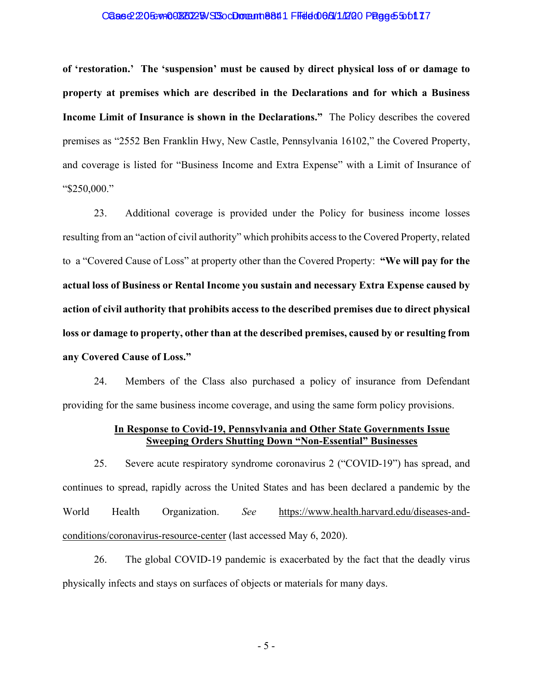#### Case 2:205-yin 00880225 NSS CD mann 8841 Filed 065/11/20 Page 5 5 of 177

**of 'restoration.' The 'suspension' must be caused by direct physical loss of or damage to property at premises which are described in the Declarations and for which a Business Income Limit of Insurance is shown in the Declarations."** The Policy describes the covered premises as "2552 Ben Franklin Hwy, New Castle, Pennsylvania 16102," the Covered Property, and coverage is listed for "Business Income and Extra Expense" with a Limit of Insurance of "\$250,000."

23. Additional coverage is provided under the Policy for business income losses resulting from an "action of civil authority" which prohibits access to the Covered Property, related to a "Covered Cause of Loss" at property other than the Covered Property: **"We will pay for the actual loss of Business or Rental Income you sustain and necessary Extra Expense caused by action of civil authority that prohibits access to the described premises due to direct physical loss or damage to property, other than at the described premises, caused by or resulting from any Covered Cause of Loss."** 

24. Members of the Class also purchased a policy of insurance from Defendant providing for the same business income coverage, and using the same form policy provisions.

### **In Response to Covid-19, Pennsylvania and Other State Governments Issue Sweeping Orders Shutting Down "Non-Essential" Businesses**

25. Severe acute respiratory syndrome coronavirus 2 ("COVID-19") has spread, and continues to spread, rapidly across the United States and has been declared a pandemic by the World Health Organization. *See* https://www.health.harvard.edu/diseases-andconditions/coronavirus-resource-center (last accessed May 6, 2020).

26. The global COVID-19 pandemic is exacerbated by the fact that the deadly virus physically infects and stays on surfaces of objects or materials for many days.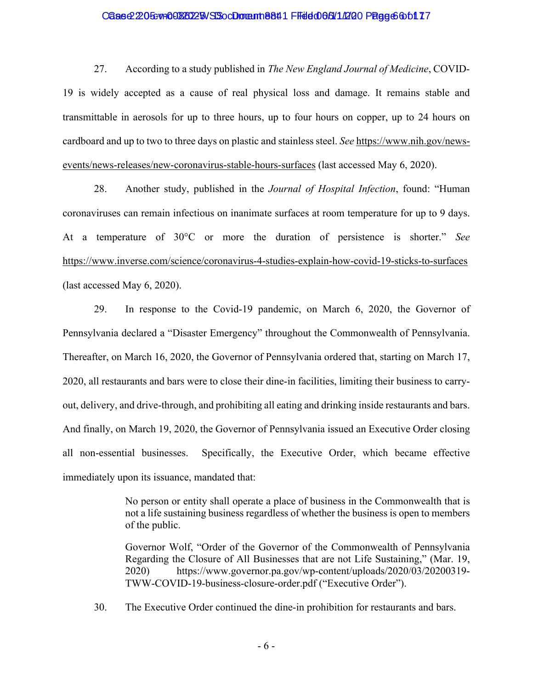### Case 2:205-yin 00880225 NSS CD mann 8841 Filed 066/11/20 Page 6 6 of 177

27. According to a study published in *The New England Journal of Medicine*, COVID-19 is widely accepted as a cause of real physical loss and damage. It remains stable and transmittable in aerosols for up to three hours, up to four hours on copper, up to 24 hours on cardboard and up to two to three days on plastic and stainless steel. *See* https://www.nih.gov/newsevents/news-releases/new-coronavirus-stable-hours-surfaces (last accessed May 6, 2020).

28. Another study, published in the *Journal of Hospital Infection*, found: "Human coronaviruses can remain infectious on inanimate surfaces at room temperature for up to 9 days. At a temperature of 30°C or more the duration of persistence is shorter." *See*  https://www.inverse.com/science/coronavirus-4-studies-explain-how-covid-19-sticks-to-surfaces (last accessed May 6, 2020).

29. In response to the Covid-19 pandemic, on March 6, 2020, the Governor of Pennsylvania declared a "Disaster Emergency" throughout the Commonwealth of Pennsylvania. Thereafter, on March 16, 2020, the Governor of Pennsylvania ordered that, starting on March 17, 2020, all restaurants and bars were to close their dine-in facilities, limiting their business to carryout, delivery, and drive-through, and prohibiting all eating and drinking inside restaurants and bars. And finally, on March 19, 2020, the Governor of Pennsylvania issued an Executive Order closing all non-essential businesses. Specifically, the Executive Order, which became effective immediately upon its issuance, mandated that:

> No person or entity shall operate a place of business in the Commonwealth that is not a life sustaining business regardless of whether the business is open to members of the public.

> Governor Wolf, "Order of the Governor of the Commonwealth of Pennsylvania Regarding the Closure of All Businesses that are not Life Sustaining," (Mar. 19, 2020) https://www.governor.pa.gov/wp-content/uploads/2020/03/20200319- TWW-COVID-19-business-closure-order.pdf ("Executive Order").

30. The Executive Order continued the dine-in prohibition for restaurants and bars.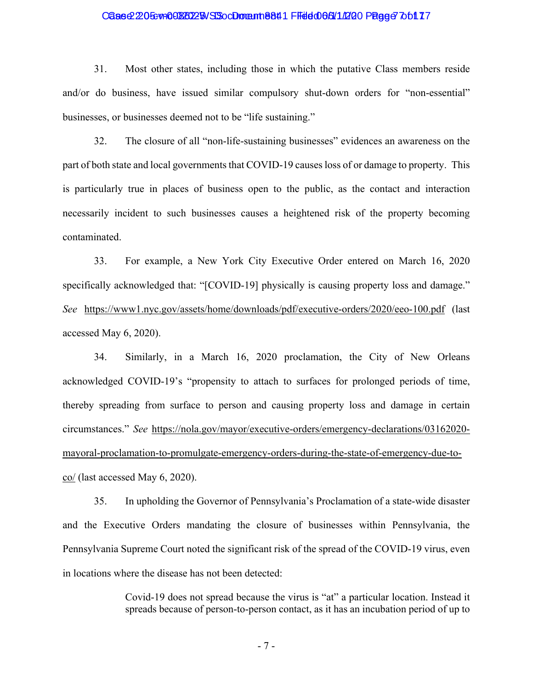### Case 2:205-yin 00880225 NSS CD mann 8841 Filed 065/11/20 Page 7 of 177

31. Most other states, including those in which the putative Class members reside and/or do business, have issued similar compulsory shut-down orders for "non-essential" businesses, or businesses deemed not to be "life sustaining."

32. The closure of all "non-life-sustaining businesses" evidences an awareness on the part of both state and local governments that COVID-19 causes loss of or damage to property. This is particularly true in places of business open to the public, as the contact and interaction necessarily incident to such businesses causes a heightened risk of the property becoming contaminated.

33. For example, a New York City Executive Order entered on March 16, 2020 specifically acknowledged that: "[COVID-19] physically is causing property loss and damage." *See* https://www1.nyc.gov/assets/home/downloads/pdf/executive-orders/2020/eeo-100.pdf (last accessed May 6, 2020).

34. Similarly, in a March 16, 2020 proclamation, the City of New Orleans acknowledged COVID-19's "propensity to attach to surfaces for prolonged periods of time, thereby spreading from surface to person and causing property loss and damage in certain circumstances." *See* https://nola.gov/mayor/executive-orders/emergency-declarations/03162020 mayoral-proclamation-to-promulgate-emergency-orders-during-the-state-of-emergency-due-toco/ (last accessed May 6, 2020).

35. In upholding the Governor of Pennsylvania's Proclamation of a state-wide disaster and the Executive Orders mandating the closure of businesses within Pennsylvania, the Pennsylvania Supreme Court noted the significant risk of the spread of the COVID-19 virus, even in locations where the disease has not been detected:

> Covid-19 does not spread because the virus is "at" a particular location. Instead it spreads because of person-to-person contact, as it has an incubation period of up to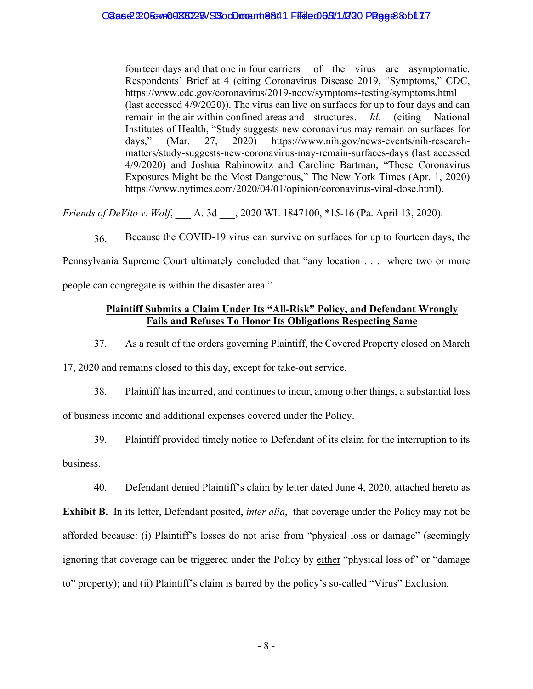fourteen days and that one in four carriers of the virus are asymptomatic. Respondents' Brief at 4 (citing Coronavirus Disease 2019, "Symptoms," CDC, https://www.cdc.gov/coronavirus/2019-ncov/symptoms-testing/symptoms.html (last accessed 4/9/2020)). The virus can live on surfaces for up to four days and can remain in the air within confined areas and structures. *Id.* (citing National Institutes of Health, "Study suggests new coronavirus may remain on surfaces for days," (Mar. 27, 2020) https://www.nih.gov/news-events/nih-researchmatters/study-suggests-new-coronavirus-may-remain-surfaces-days (last accessed 4/9/2020) and Joshua Rabinowitz and Caroline Bartman, "These Coronavirus Exposures Might be the Most Dangerous," The New York Times (Apr. 1, 2020) https://www.nytimes.com/2020/04/01/opinion/coronavirus-viral-dose.html).

*Friends of DeVito v. Wolf*, \_\_\_ A. 3d \_\_\_, 2020 WL 1847100, \*15-16 (Pa. April 13, 2020).

36. Because the COVID-19 virus can survive on surfaces for up to fourteen days, the Pennsylvania Supreme Court ultimately concluded that "any location . . . where two or more people can congregate is within the disaster area."

## **Plaintiff Submits a Claim Under Its "All-Risk" Policy, and Defendant Wrongly Fails and Refuses To Honor Its Obligations Respecting Same**

37. As a result of the orders governing Plaintiff, the Covered Property closed on March

17, 2020 and remains closed to this day, except for take-out service.

38. Plaintiff has incurred, and continues to incur, among other things, a substantial loss of business income and additional expenses covered under the Policy.

39. Plaintiff provided timely notice to Defendant of its claim for the interruption to its

business.

40. Defendant denied Plaintiff's claim by letter dated June 4, 2020, attached hereto as

**Exhibit B.** In its letter, Defendant posited, *inter alia*, that coverage under the Policy may not be afforded because: (i) Plaintiff's losses do not arise from "physical loss or damage" (seemingly ignoring that coverage can be triggered under the Policy by either "physical loss of" or "damage to" property); and (ii) Plaintiff's claim is barred by the policy's so-called "Virus" Exclusion.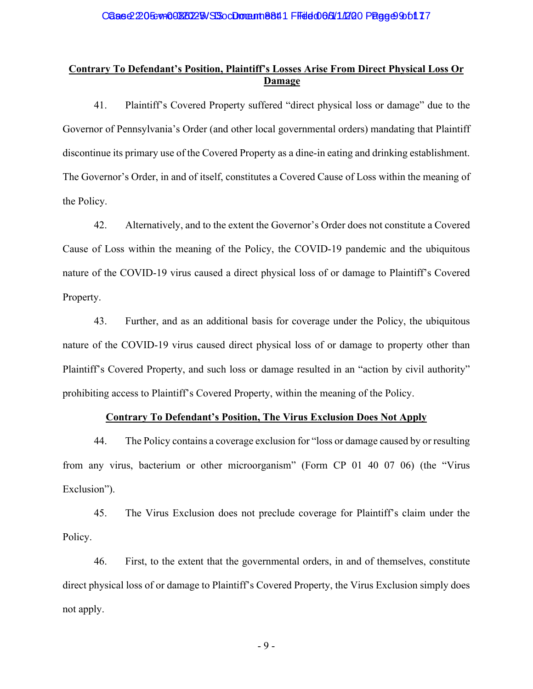# **Contrary To Defendant's Position, Plaintiff's Losses Arise From Direct Physical Loss Or Damage**

41. Plaintiff's Covered Property suffered "direct physical loss or damage" due to the Governor of Pennsylvania's Order (and other local governmental orders) mandating that Plaintiff discontinue its primary use of the Covered Property as a dine-in eating and drinking establishment. The Governor's Order, in and of itself, constitutes a Covered Cause of Loss within the meaning of the Policy.

42. Alternatively, and to the extent the Governor's Order does not constitute a Covered Cause of Loss within the meaning of the Policy, the COVID-19 pandemic and the ubiquitous nature of the COVID-19 virus caused a direct physical loss of or damage to Plaintiff's Covered Property.

43. Further, and as an additional basis for coverage under the Policy, the ubiquitous nature of the COVID-19 virus caused direct physical loss of or damage to property other than Plaintiff's Covered Property, and such loss or damage resulted in an "action by civil authority" prohibiting access to Plaintiff's Covered Property, within the meaning of the Policy.

## **Contrary To Defendant's Position, The Virus Exclusion Does Not Apply**

44. The Policy contains a coverage exclusion for "loss or damage caused by or resulting from any virus, bacterium or other microorganism" (Form CP 01 40 07 06) (the "Virus Exclusion").

45. The Virus Exclusion does not preclude coverage for Plaintiff's claim under the Policy.

46. First, to the extent that the governmental orders, in and of themselves, constitute direct physical loss of or damage to Plaintiff's Covered Property, the Virus Exclusion simply does not apply.

- 9 -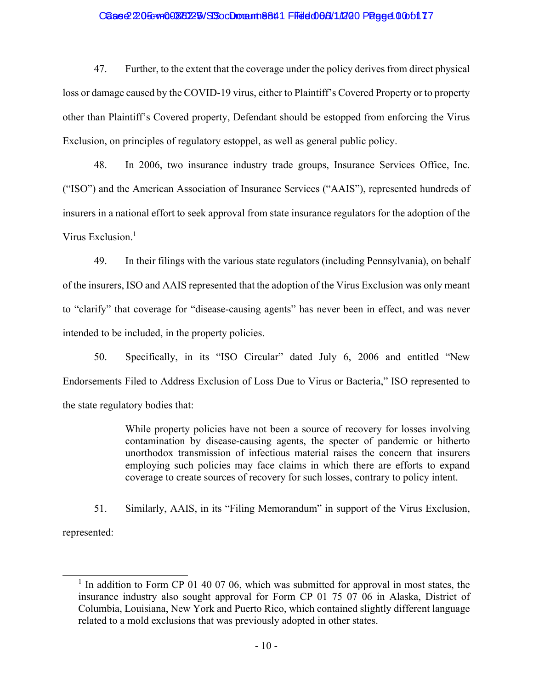### Case 2:205-v=00880225 SSocDoment 8841 FFed 066/11/200 Page 40 06117

47. Further, to the extent that the coverage under the policy derives from direct physical loss or damage caused by the COVID-19 virus, either to Plaintiff's Covered Property or to property other than Plaintiff's Covered property, Defendant should be estopped from enforcing the Virus Exclusion, on principles of regulatory estoppel, as well as general public policy.

48. In 2006, two insurance industry trade groups, Insurance Services Office, Inc. ("ISO") and the American Association of Insurance Services ("AAIS"), represented hundreds of insurers in a national effort to seek approval from state insurance regulators for the adoption of the Virus Exclusion.<sup>1</sup>

49. In their filings with the various state regulators (including Pennsylvania), on behalf of the insurers, ISO and AAIS represented that the adoption of the Virus Exclusion was only meant to "clarify" that coverage for "disease-causing agents" has never been in effect, and was never intended to be included, in the property policies.

50. Specifically, in its "ISO Circular" dated July 6, 2006 and entitled "New Endorsements Filed to Address Exclusion of Loss Due to Virus or Bacteria," ISO represented to the state regulatory bodies that:

> While property policies have not been a source of recovery for losses involving contamination by disease-causing agents, the specter of pandemic or hitherto unorthodox transmission of infectious material raises the concern that insurers employing such policies may face claims in which there are efforts to expand coverage to create sources of recovery for such losses, contrary to policy intent.

51. Similarly, AAIS, in its "Filing Memorandum" in support of the Virus Exclusion, represented:

<sup>&</sup>lt;sup>1</sup> In addition to Form CP 01 40 07 06, which was submitted for approval in most states, the insurance industry also sought approval for Form CP 01 75 07 06 in Alaska, District of Columbia, Louisiana, New York and Puerto Rico, which contained slightly different language related to a mold exclusions that was previously adopted in other states.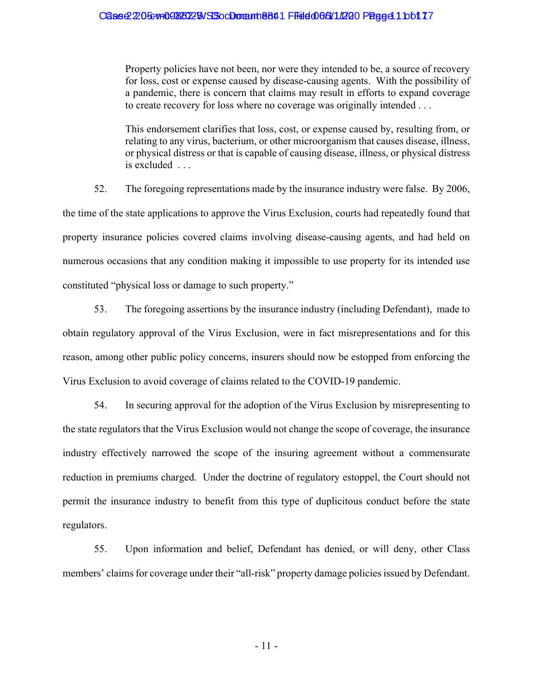Property policies have not been, nor were they intended to be, a source of recovery for loss, cost or expense caused by disease-causing agents. With the possibility of a pandemic, there is concern that claims may result in efforts to expand coverage to create recovery for loss where no coverage was originally intended . . .

This endorsement clarifies that loss, cost, or expense caused by, resulting from, or relating to any virus, bacterium, or other microorganism that causes disease, illness, or physical distress or that is capable of causing disease, illness, or physical distress is excluded . . .

52. The foregoing representations made by the insurance industry were false. By 2006, the time of the state applications to approve the Virus Exclusion, courts had repeatedly found that property insurance policies covered claims involving disease-causing agents, and had held on numerous occasions that any condition making it impossible to use property for its intended use constituted "physical loss or damage to such property."

53. The foregoing assertions by the insurance industry (including Defendant), made to obtain regulatory approval of the Virus Exclusion, were in fact misrepresentations and for this reason, among other public policy concerns, insurers should now be estopped from enforcing the Virus Exclusion to avoid coverage of claims related to the COVID-19 pandemic.

54. In securing approval for the adoption of the Virus Exclusion by misrepresenting to the state regulators that the Virus Exclusion would not change the scope of coverage, the insurance industry effectively narrowed the scope of the insuring agreement without a commensurate reduction in premiums charged. Under the doctrine of regulatory estoppel, the Court should not permit the insurance industry to benefit from this type of duplicitous conduct before the state regulators.

55. Upon information and belief, Defendant has denied, or will deny, other Class members' claims for coverage under their "all-risk" property damage policies issued by Defendant.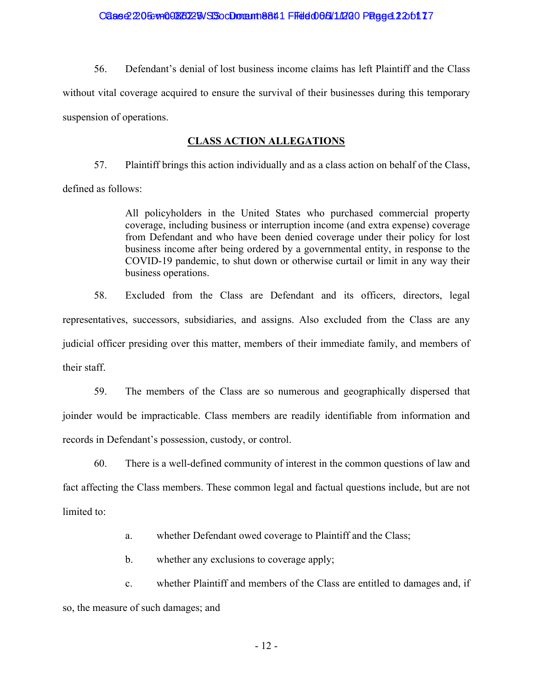56. Defendant's denial of lost business income claims has left Plaintiff and the Class without vital coverage acquired to ensure the survival of their businesses during this temporary suspension of operations.

## **CLASS ACTION ALLEGATIONS**

57. Plaintiff brings this action individually and as a class action on behalf of the Class, defined as follows:

> All policyholders in the United States who purchased commercial property coverage, including business or interruption income (and extra expense) coverage from Defendant and who have been denied coverage under their policy for lost business income after being ordered by a governmental entity, in response to the COVID-19 pandemic, to shut down or otherwise curtail or limit in any way their business operations.

58. Excluded from the Class are Defendant and its officers, directors, legal representatives, successors, subsidiaries, and assigns. Also excluded from the Class are any judicial officer presiding over this matter, members of their immediate family, and members of their staff.

59. The members of the Class are so numerous and geographically dispersed that joinder would be impracticable. Class members are readily identifiable from information and records in Defendant's possession, custody, or control.

60. There is a well-defined community of interest in the common questions of law and fact affecting the Class members. These common legal and factual questions include, but are not limited to:

a. whether Defendant owed coverage to Plaintiff and the Class;

b. whether any exclusions to coverage apply;

c. whether Plaintiff and members of the Class are entitled to damages and, if so, the measure of such damages; and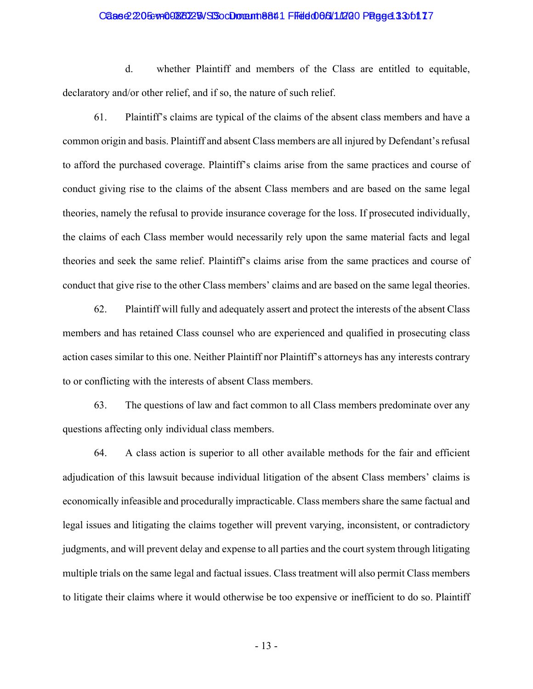#### Case 2:205: v= 00880225 NSS oc Domant 8841 Filed 066/11/200 Page 4:33 of 17

d. whether Plaintiff and members of the Class are entitled to equitable, declaratory and/or other relief, and if so, the nature of such relief.

61. Plaintiff's claims are typical of the claims of the absent class members and have a common origin and basis. Plaintiff and absent Class members are all injured by Defendant's refusal to afford the purchased coverage. Plaintiff's claims arise from the same practices and course of conduct giving rise to the claims of the absent Class members and are based on the same legal theories, namely the refusal to provide insurance coverage for the loss. If prosecuted individually, the claims of each Class member would necessarily rely upon the same material facts and legal theories and seek the same relief. Plaintiff's claims arise from the same practices and course of conduct that give rise to the other Class members' claims and are based on the same legal theories.

62. Plaintiff will fully and adequately assert and protect the interests of the absent Class members and has retained Class counsel who are experienced and qualified in prosecuting class action cases similar to this one. Neither Plaintiff nor Plaintiff's attorneys has any interests contrary to or conflicting with the interests of absent Class members.

63. The questions of law and fact common to all Class members predominate over any questions affecting only individual class members.

64. A class action is superior to all other available methods for the fair and efficient adjudication of this lawsuit because individual litigation of the absent Class members' claims is economically infeasible and procedurally impracticable. Class members share the same factual and legal issues and litigating the claims together will prevent varying, inconsistent, or contradictory judgments, and will prevent delay and expense to all parties and the court system through litigating multiple trials on the same legal and factual issues. Class treatment will also permit Class members to litigate their claims where it would otherwise be too expensive or inefficient to do so. Plaintiff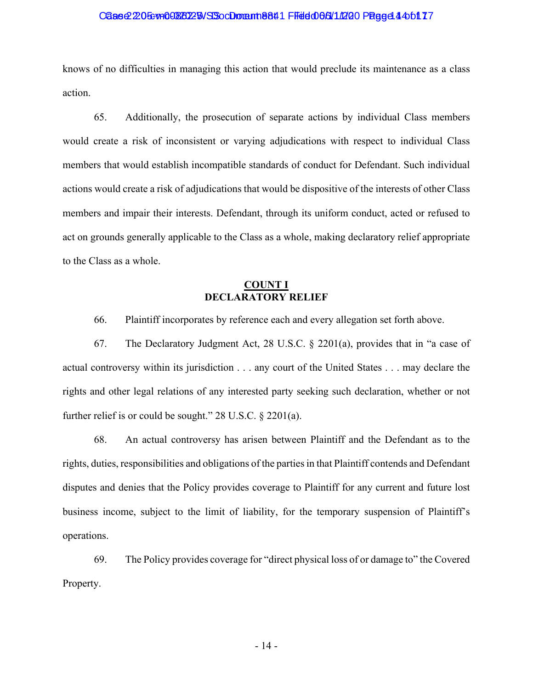#### Case 2:205: va00820225 SSocDoment 8841 Filed 066/11/200 Page 44 4 61 17

knows of no difficulties in managing this action that would preclude its maintenance as a class action.

65. Additionally, the prosecution of separate actions by individual Class members would create a risk of inconsistent or varying adjudications with respect to individual Class members that would establish incompatible standards of conduct for Defendant. Such individual actions would create a risk of adjudications that would be dispositive of the interests of other Class members and impair their interests. Defendant, through its uniform conduct, acted or refused to act on grounds generally applicable to the Class as a whole, making declaratory relief appropriate to the Class as a whole.

### **COUNT I DECLARATORY RELIEF**

66. Plaintiff incorporates by reference each and every allegation set forth above.

67. The Declaratory Judgment Act, 28 U.S.C. § 2201(a), provides that in "a case of actual controversy within its jurisdiction . . . any court of the United States . . . may declare the rights and other legal relations of any interested party seeking such declaration, whether or not further relief is or could be sought." 28 U.S.C. § 2201(a).

68. An actual controversy has arisen between Plaintiff and the Defendant as to the rights, duties, responsibilities and obligations of the parties in that Plaintiff contends and Defendant disputes and denies that the Policy provides coverage to Plaintiff for any current and future lost business income, subject to the limit of liability, for the temporary suspension of Plaintiff's operations.

69. The Policy provides coverage for "direct physical loss of or damage to" the Covered Property.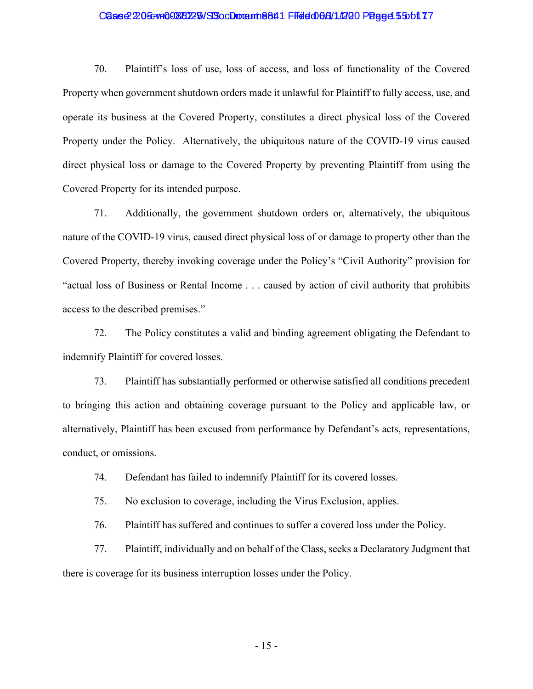### Case 2:205: v= 00886225 NSS oc Domant 8841 FFeld 066/11/200 Page 455 of 17

70. Plaintiff's loss of use, loss of access, and loss of functionality of the Covered Property when government shutdown orders made it unlawful for Plaintiff to fully access, use, and operate its business at the Covered Property, constitutes a direct physical loss of the Covered Property under the Policy. Alternatively, the ubiquitous nature of the COVID-19 virus caused direct physical loss or damage to the Covered Property by preventing Plaintiff from using the Covered Property for its intended purpose.

71. Additionally, the government shutdown orders or, alternatively, the ubiquitous nature of the COVID-19 virus, caused direct physical loss of or damage to property other than the Covered Property, thereby invoking coverage under the Policy's "Civil Authority" provision for "actual loss of Business or Rental Income . . . caused by action of civil authority that prohibits access to the described premises."

72. The Policy constitutes a valid and binding agreement obligating the Defendant to indemnify Plaintiff for covered losses.

73. Plaintiff has substantially performed or otherwise satisfied all conditions precedent to bringing this action and obtaining coverage pursuant to the Policy and applicable law, or alternatively, Plaintiff has been excused from performance by Defendant's acts, representations, conduct, or omissions.

74. Defendant has failed to indemnify Plaintiff for its covered losses.

75. No exclusion to coverage, including the Virus Exclusion, applies.

76. Plaintiff has suffered and continues to suffer a covered loss under the Policy.

77. Plaintiff, individually and on behalf of the Class, seeks a Declaratory Judgment that there is coverage for its business interruption losses under the Policy.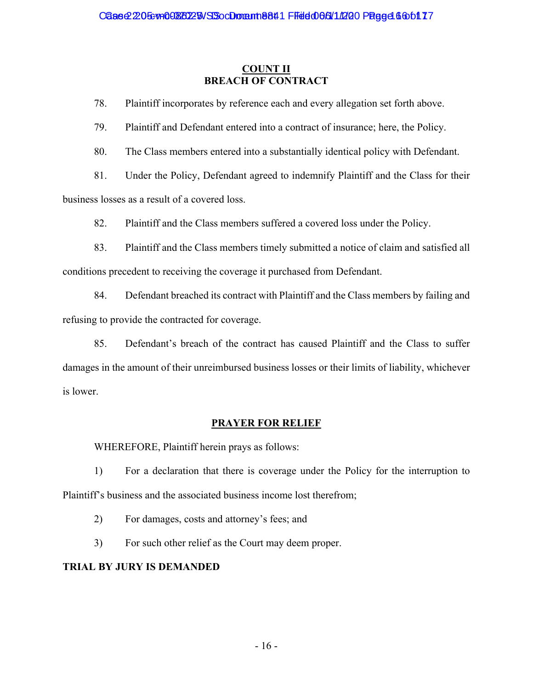## **COUNT II BREACH OF CONTRACT**

78. Plaintiff incorporates by reference each and every allegation set forth above.

79. Plaintiff and Defendant entered into a contract of insurance; here, the Policy.

80. The Class members entered into a substantially identical policy with Defendant.

81. Under the Policy, Defendant agreed to indemnify Plaintiff and the Class for their

business losses as a result of a covered loss.

82. Plaintiff and the Class members suffered a covered loss under the Policy.

83. Plaintiff and the Class members timely submitted a notice of claim and satisfied all conditions precedent to receiving the coverage it purchased from Defendant.

84. Defendant breached its contract with Plaintiff and the Class members by failing and refusing to provide the contracted for coverage.

85. Defendant's breach of the contract has caused Plaintiff and the Class to suffer damages in the amount of their unreimbursed business losses or their limits of liability, whichever is lower.

# **PRAYER FOR RELIEF**

WHEREFORE, Plaintiff herein prays as follows:

1) For a declaration that there is coverage under the Policy for the interruption to Plaintiff's business and the associated business income lost therefrom;

2) For damages, costs and attorney's fees; and

3) For such other relief as the Court may deem proper.

# **TRIAL BY JURY IS DEMANDED**